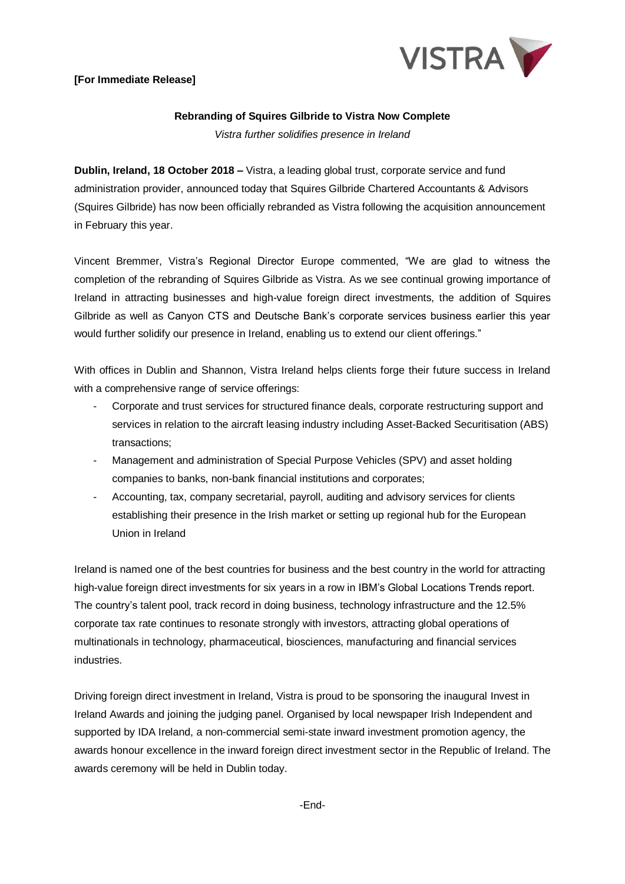## **[For Immediate Release]**



## **Rebranding of Squires Gilbride to Vistra Now Complete**

*Vistra further solidifies presence in Ireland*

**Dublin, Ireland, 18 October 2018 –** Vistra, a leading global trust, corporate service and fund administration provider, announced today that Squires Gilbride Chartered Accountants & Advisors (Squires Gilbride) has now been officially rebranded as Vistra following the acquisition announcement in February this year.

Vincent Bremmer, Vistra's Regional Director Europe commented, "We are glad to witness the completion of the rebranding of Squires Gilbride as Vistra. As we see continual growing importance of Ireland in attracting businesses and high-value foreign direct investments, the addition of Squires Gilbride as well as Canyon CTS and Deutsche Bank's corporate services business earlier this year would further solidify our presence in Ireland, enabling us to extend our client offerings."

With offices in Dublin and Shannon, Vistra Ireland helps clients forge their future success in Ireland with a comprehensive range of service offerings:

- Corporate and trust services for structured finance deals, corporate restructuring support and services in relation to the aircraft leasing industry including Asset-Backed Securitisation (ABS) transactions;
- Management and administration of Special Purpose Vehicles (SPV) and asset holding companies to banks, non-bank financial institutions and corporates;
- Accounting, tax, company secretarial, payroll, auditing and advisory services for clients establishing their presence in the Irish market or setting up regional hub for the European Union in Ireland

Ireland is named one of the best countries for business and the best country in the world for attracting high-value foreign direct investments for six years in a row in IBM's Global Locations Trends report. The country's talent pool, track record in doing business, technology infrastructure and the 12.5% corporate tax rate continues to resonate strongly with investors, attracting global operations of multinationals in technology, pharmaceutical, biosciences, manufacturing and financial services industries.

Driving foreign direct investment in Ireland, Vistra is proud to be sponsoring the inaugural Invest in Ireland Awards and joining the judging panel. Organised by local newspaper Irish Independent and supported by IDA Ireland, a non-commercial semi-state inward investment promotion agency, the awards honour excellence in the inward foreign direct investment sector in the Republic of Ireland. The awards ceremony will be held in Dublin today.